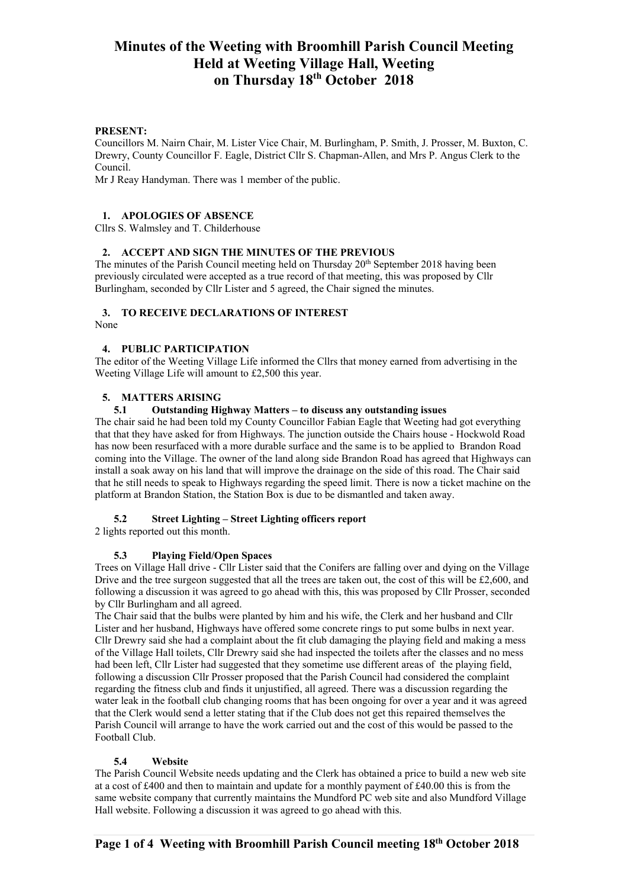#### **PRESENT:**

Councillors M. Nairn Chair, M. Lister Vice Chair, M. Burlingham, P. Smith, J. Prosser, M. Buxton, C. Drewry, County Councillor F. Eagle, District Cllr S. Chapman-Allen, and Mrs P. Angus Clerk to the Council.

Mr J Reay Handyman. There was 1 member of the public.

## **1. APOLOGIES OF ABSENCE**

Cllrs S. Walmsley and T. Childerhouse

## **2. ACCEPT AND SIGN THE MINUTES OF THE PREVIOUS**

The minutes of the Parish Council meeting held on Thursday 20<sup>th</sup> September 2018 having been previously circulated were accepted as a true record of that meeting, this was proposed by Cllr Burlingham, seconded by Cllr Lister and 5 agreed, the Chair signed the minutes.

# **3. TO RECEIVE DECLARATIONS OF INTEREST**

None

## **4. PUBLIC PARTICIPATION**

The editor of the Weeting Village Life informed the Cllrs that money earned from advertising in the Weeting Village Life will amount to £2,500 this year.

# **5. MATTERS ARISING**

# **5.1 Outstanding Highway Matters – to discuss any outstanding issues**

The chair said he had been told my County Councillor Fabian Eagle that Weeting had got everything that that they have asked for from Highways. The junction outside the Chairs house - Hockwold Road has now been resurfaced with a more durable surface and the same is to be applied to Brandon Road coming into the Village. The owner of the land along side Brandon Road has agreed that Highways can install a soak away on his land that will improve the drainage on the side of this road. The Chair said that he still needs to speak to Highways regarding the speed limit. There is now a ticket machine on the platform at Brandon Station, the Station Box is due to be dismantled and taken away.

#### **5.2 Street Lighting – Street Lighting officers report**

2 lights reported out this month.

#### **5.3 Playing Field/Open Spaces**

Trees on Village Hall drive - Cllr Lister said that the Conifers are falling over and dying on the Village Drive and the tree surgeon suggested that all the trees are taken out, the cost of this will be  $£2,600$ , and following a discussion it was agreed to go ahead with this, this was proposed by Cllr Prosser, seconded by Cllr Burlingham and all agreed.

The Chair said that the bulbs were planted by him and his wife, the Clerk and her husband and Cllr Lister and her husband, Highways have offered some concrete rings to put some bulbs in next year. Cllr Drewry said she had a complaint about the fit club damaging the playing field and making a mess of the Village Hall toilets, Cllr Drewry said she had inspected the toilets after the classes and no mess had been left, Cllr Lister had suggested that they sometime use different areas of the playing field, following a discussion Cllr Prosser proposed that the Parish Council had considered the complaint regarding the fitness club and finds it unjustified, all agreed. There was a discussion regarding the water leak in the football club changing rooms that has been ongoing for over a year and it was agreed that the Clerk would send a letter stating that if the Club does not get this repaired themselves the Parish Council will arrange to have the work carried out and the cost of this would be passed to the Football Club.

#### **5.4 Website**

The Parish Council Website needs updating and the Clerk has obtained a price to build a new web site at a cost of £400 and then to maintain and update for a monthly payment of £40.00 this is from the same website company that currently maintains the Mundford PC web site and also Mundford Village Hall website. Following a discussion it was agreed to go ahead with this.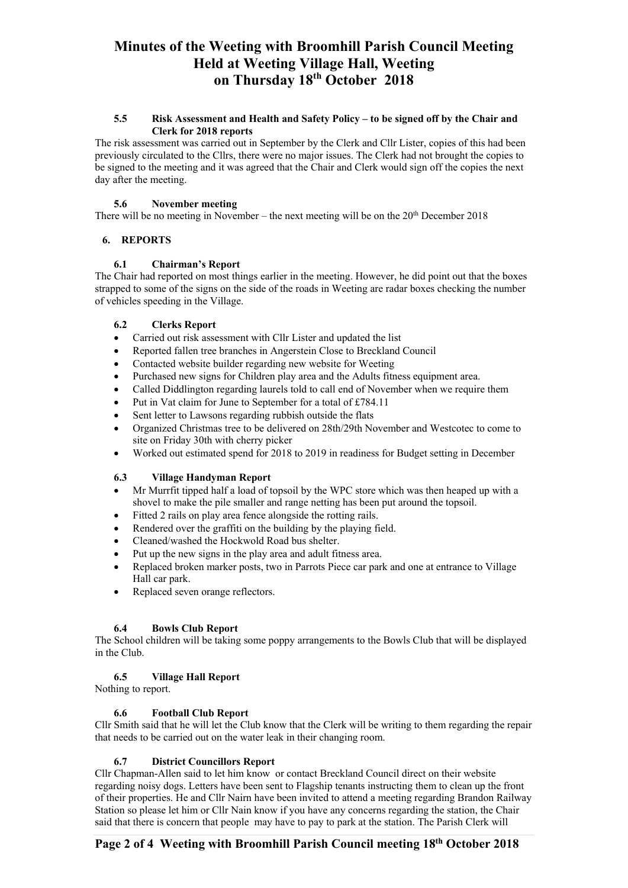#### **5.5 Risk Assessment and Health and Safety Policy – to be signed off by the Chair and Clerk for 2018 reports**

The risk assessment was carried out in September by the Clerk and Cllr Lister, copies of this had been previously circulated to the Cllrs, there were no major issues. The Clerk had not brought the copies to be signed to the meeting and it was agreed that the Chair and Clerk would sign off the copies the next day after the meeting.

## **5.6 November meeting**

There will be no meeting in November – the next meeting will be on the  $20<sup>th</sup>$  December 2018

# **6. REPORTS**

# **6.1 Chairman's Report**

The Chair had reported on most things earlier in the meeting. However, he did point out that the boxes strapped to some of the signs on the side of the roads in Weeting are radar boxes checking the number of vehicles speeding in the Village.

# **6.2 Clerks Report**

- Carried out risk assessment with Cllr Lister and updated the list
- Reported fallen tree branches in Angerstein Close to Breckland Council
- Contacted website builder regarding new website for Weeting
- Purchased new signs for Children play area and the Adults fitness equipment area.
- Called Diddlington regarding laurels told to call end of November when we require them
- Put in Vat claim for June to September for a total of £784.11
- Sent letter to Lawsons regarding rubbish outside the flats
- Organized Christmas tree to be delivered on 28th/29th November and Westcotec to come to site on Friday 30th with cherry picker
- Worked out estimated spend for 2018 to 2019 in readiness for Budget setting in December

# **6.3 Village Handyman Report**

- Mr Murrfit tipped half a load of topsoil by the WPC store which was then heaped up with a shovel to make the pile smaller and range netting has been put around the topsoil.
- Fitted 2 rails on play area fence alongside the rotting rails.
- Rendered over the graffiti on the building by the playing field.
- Cleaned/washed the Hockwold Road bus shelter.
- Put up the new signs in the play area and adult fitness area.
- Replaced broken marker posts, two in Parrots Piece car park and one at entrance to Village Hall car park.
- Replaced seven orange reflectors.

# **6.4 Bowls Club Report**

The School children will be taking some poppy arrangements to the Bowls Club that will be displayed in the Club.

# **6.5 Village Hall Report**

Nothing to report.

# **6.6 Football Club Report**

Cllr Smith said that he will let the Club know that the Clerk will be writing to them regarding the repair that needs to be carried out on the water leak in their changing room.

# **6.7 District Councillors Report**

Cllr Chapman-Allen said to let him know or contact Breckland Council direct on their website regarding noisy dogs. Letters have been sent to Flagship tenants instructing them to clean up the front of their properties. He and Cllr Nairn have been invited to attend a meeting regarding Brandon Railway Station so please let him or Cllr Nain know if you have any concerns regarding the station, the Chair said that there is concern that people may have to pay to park at the station. The Parish Clerk will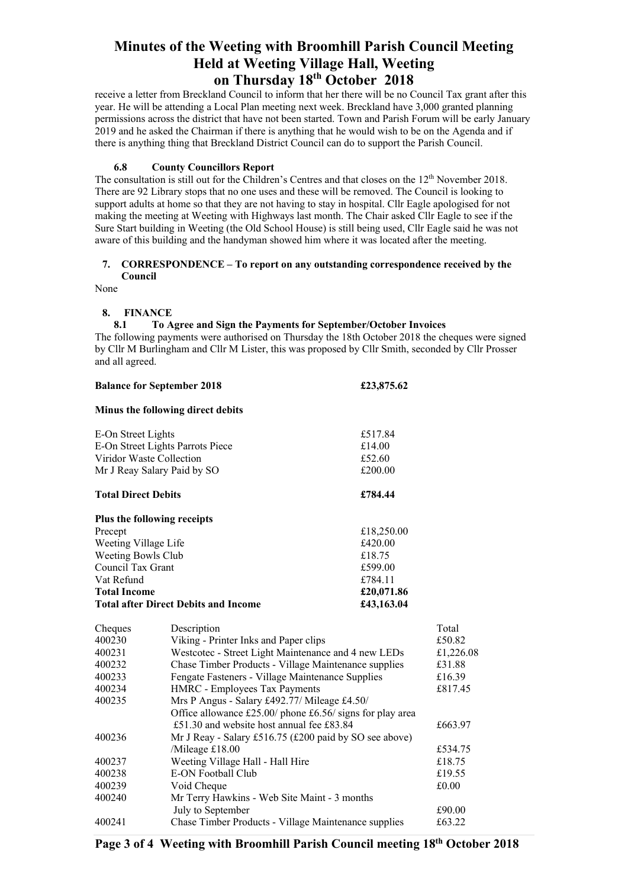receive a letter from Breckland Council to inform that her there will be no Council Tax grant after this year. He will be attending a Local Plan meeting next week. Breckland have 3,000 granted planning permissions across the district that have not been started. Town and Parish Forum will be early January 2019 and he asked the Chairman if there is anything that he would wish to be on the Agenda and if there is anything thing that Breckland District Council can do to support the Parish Council.

#### **6.8 County Councillors Report**

The consultation is still out for the Children's Centres and that closes on the 12<sup>th</sup> November 2018. There are 92 Library stops that no one uses and these will be removed. The Council is looking to support adults at home so that they are not having to stay in hospital. Cllr Eagle apologised for not making the meeting at Weeting with Highways last month. The Chair asked Cllr Eagle to see if the Sure Start building in Weeting (the Old School House) is still being used, Cllr Eagle said he was not aware of this building and the handyman showed him where it was located after the meeting.

#### **7. CORRESPONDENCE – To report on any outstanding correspondence received by the Council**

None

## **8. FINANCE**

## **8.1 To Agree and Sign the Payments for September/October Invoices**

The following payments were authorised on Thursday the 18th October 2018 the cheques were signed by Cllr M Burlingham and Cllr M Lister, this was proposed by Cllr Smith, seconded by Cllr Prosser and all agreed.

| <b>Balance for September 2018</b> |                                                           | £23,875.62 |           |
|-----------------------------------|-----------------------------------------------------------|------------|-----------|
|                                   | Minus the following direct debits                         |            |           |
| E-On Street Lights                |                                                           | £517.84    |           |
| E-On Street Lights Parrots Piece  |                                                           | £14.00     |           |
| Viridor Waste Collection          |                                                           | £52.60     |           |
| Mr J Reay Salary Paid by SO       |                                                           | £200.00    |           |
| <b>Total Direct Debits</b>        |                                                           | £784.44    |           |
|                                   | Plus the following receipts                               |            |           |
| Precept                           |                                                           | £18,250.00 |           |
| Weeting Village Life              |                                                           | £420.00    |           |
| Weeting Bowls Club                |                                                           | £18.75     |           |
| Council Tax Grant                 |                                                           | £599.00    |           |
| Vat Refund                        |                                                           | £784.11    |           |
| <b>Total Income</b>               |                                                           | £20,071.86 |           |
|                                   | <b>Total after Direct Debits and Income</b>               | £43,163.04 |           |
| Cheques                           | Description                                               |            | Total     |
| 400230                            | Viking - Printer Inks and Paper clips                     |            | £50.82    |
| 400231                            | Westcotec - Street Light Maintenance and 4 new LEDs       |            | £1,226.08 |
| 400232                            | Chase Timber Products - Village Maintenance supplies      |            | £31.88    |
| 400233                            | Fengate Fasteners - Village Maintenance Supplies          |            | £16.39    |
| 400234                            | HMRC - Employees Tax Payments                             |            | £817.45   |
| 400235                            | Mrs P Angus - Salary £492.77/ Mileage £4.50/              |            |           |
|                                   | Office allowance £25.00/ phone £6.56/ signs for play area |            |           |
|                                   | £51.30 and website host annual fee £83.84                 |            | £663.97   |
| 400236                            | Mr J Reay - Salary £516.75 (£200 paid by SO see above)    |            |           |
|                                   | /Mileage £18.00                                           |            | £534.75   |
| 400237                            | Weeting Village Hall - Hall Hire                          |            | £18.75    |
| 400238                            | E-ON Football Club                                        |            | £19.55    |
| 400239                            | Void Cheque                                               |            | £0.00     |
| 400240                            | Mr Terry Hawkins - Web Site Maint - 3 months              |            |           |
|                                   | July to September                                         |            | £90.00    |
| 400241                            | Chase Timber Products - Village Maintenance supplies      |            | £63.22    |

# **Page 3 of 4 Weeting with Broomhill Parish Council meeting 18th October 2018**